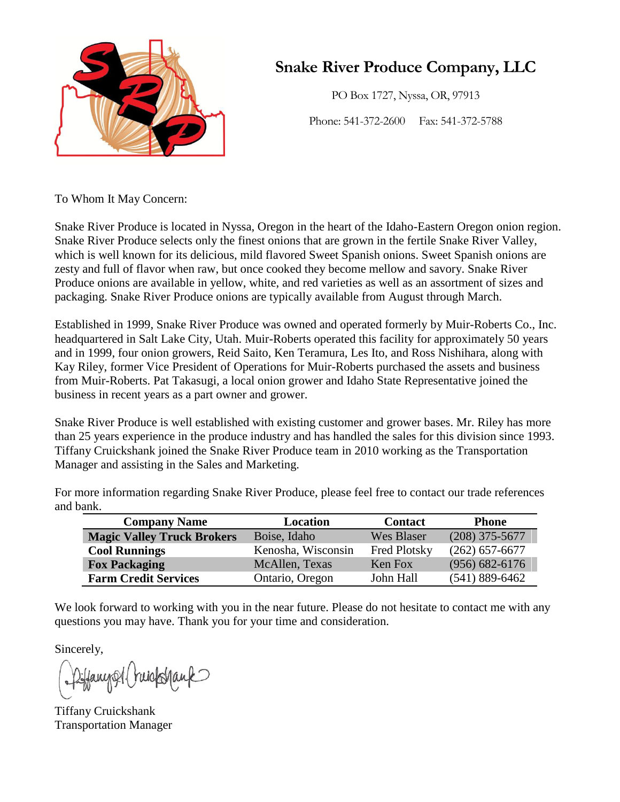

PO Box 1727, Nyssa, OR, 97913

Phone: 541-372-2600 Fax: 541-372-5788

To Whom It May Concern:

Snake River Produce is located in Nyssa, Oregon in the heart of the Idaho-Eastern Oregon onion region. Snake River Produce selects only the finest onions that are grown in the fertile Snake River Valley, which is well known for its delicious, mild flavored Sweet Spanish onions. Sweet Spanish onions are zesty and full of flavor when raw, but once cooked they become mellow and savory. Snake River Produce onions are available in yellow, white, and red varieties as well as an assortment of sizes and packaging. Snake River Produce onions are typically available from August through March.

Established in 1999, Snake River Produce was owned and operated formerly by Muir-Roberts Co., Inc. headquartered in Salt Lake City, Utah. Muir-Roberts operated this facility for approximately 50 years and in 1999, four onion growers, Reid Saito, Ken Teramura, Les Ito, and Ross Nishihara, along with Kay Riley, former Vice President of Operations for Muir-Roberts purchased the assets and business from Muir-Roberts. Pat Takasugi, a local onion grower and Idaho State Representative joined the business in recent years as a part owner and grower.

Snake River Produce is well established with existing customer and grower bases. Mr. Riley has more than 25 years experience in the produce industry and has handled the sales for this division since 1993. Tiffany Cruickshank joined the Snake River Produce team in 2010 working as the Transportation Manager and assisting in the Sales and Marketing.

For more information regarding Snake River Produce, please feel free to contact our trade references and bank.

| <b>Company Name</b>               | Location           | <b>Contact</b>      | <b>Phone</b>       |  |
|-----------------------------------|--------------------|---------------------|--------------------|--|
| <b>Magic Valley Truck Brokers</b> | Boise, Idaho       | <b>Wes Blaser</b>   | $(208)$ 375-5677   |  |
| <b>Cool Runnings</b>              | Kenosha, Wisconsin | <b>Fred Plotsky</b> | $(262)$ 657-6677   |  |
| <b>Fox Packaging</b>              | McAllen, Texas     | Ken Fox             | $(956) 682 - 6176$ |  |
| <b>Farm Credit Services</b>       | Ontario, Oregon    | John Hall           | $(541) 889 - 6462$ |  |

We look forward to working with you in the near future. Please do not hesitate to contact me with any questions you may have. Thank you for your time and consideration.

Sincerely,

Diffany Al Princk Stank

Tiffany Cruickshank Transportation Manager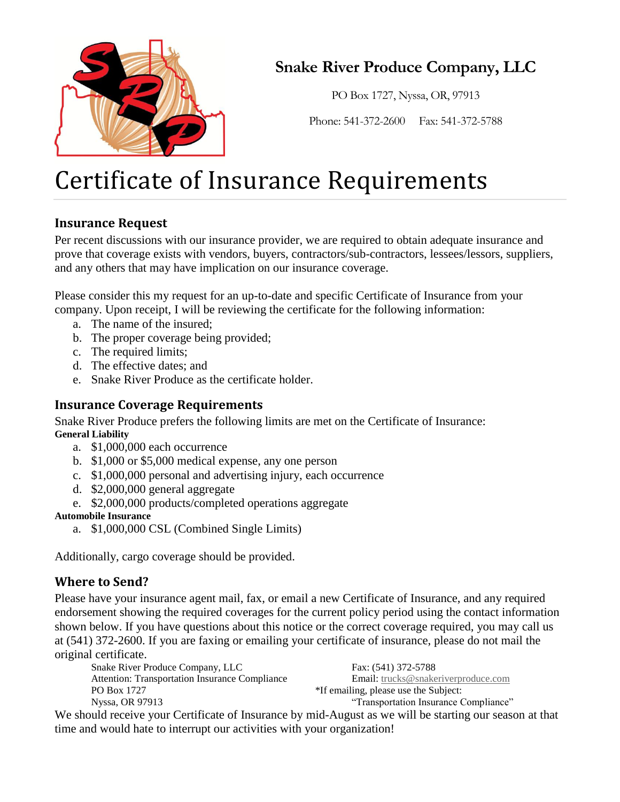

PO Box 1727, Nyssa, OR, 97913

Phone: 541-372-2600 Fax: 541-372-5788

# Certificate of Insurance Requirements

## **Insurance Request**

Per recent discussions with our insurance provider, we are required to obtain adequate insurance and prove that coverage exists with vendors, buyers, contractors/sub-contractors, lessees/lessors, suppliers, and any others that may have implication on our insurance coverage.

Please consider this my request for an up-to-date and specific Certificate of Insurance from your company. Upon receipt, I will be reviewing the certificate for the following information:

- a. The name of the insured;
- b. The proper coverage being provided;
- c. The required limits;
- d. The effective dates; and
- e. Snake River Produce as the certificate holder.

### **Insurance Coverage Requirements**

Snake River Produce prefers the following limits are met on the Certificate of Insurance: **General Liability**

- a. \$1,000,000 each occurrence
- b. \$1,000 or \$5,000 medical expense, any one person
- c. \$1,000,000 personal and advertising injury, each occurrence
- d. \$2,000,000 general aggregate
- e. \$2,000,000 products/completed operations aggregate

#### **Automobile Insurance**

a. \$1,000,000 CSL (Combined Single Limits)

Additionally, cargo coverage should be provided.

### **Where to Send?**

Please have your insurance agent mail, fax, or email a new Certificate of Insurance, and any required endorsement showing the required coverages for the current policy period using the contact information shown below. If you have questions about this notice or the correct coverage required, you may call us at (541) 372-2600. If you are faxing or emailing your certificate of insurance, please do not mail the original certificate.

| Snake River Produce Company, LLC                      | Fax: (541) 372-5788                        |
|-------------------------------------------------------|--------------------------------------------|
| <b>Attention: Transportation Insurance Compliance</b> | <b>Email:</b> trucks@snakeriverproduce.com |
| PO Box 1727                                           | *If emailing, please use the Subject:      |
| Nyssa, OR 97913                                       | "Transportation Insurance Compliance"      |
| $\blacksquare$                                        |                                            |

We should receive your Certificate of Insurance by mid-August as we will be starting our season at that time and would hate to interrupt our activities with your organization!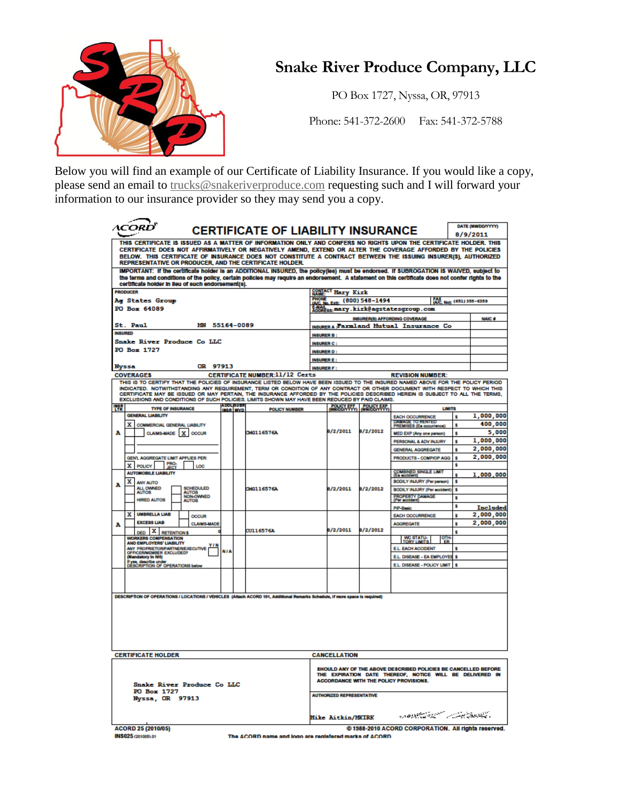

PO Box 1727, Nyssa, OR, 97913

Phone: 541-372-2600 Fax: 541-372-5788

Below you will find an example of our Certificate of Liability Insurance. If you would like a copy, please send an email to [trucks@snakeriverproduce.com](mailto:trucks@snakeriverproduce.com) requesting such and I will forward your information to our insurance provider so they may send you a copy.

| THIS CERTIFICATE IS ISSUED AS A MATTER OF INFORMATION ONLY AND CONFERS NO RIGHTS UPON THE CERTIFICATE HOLDER. THIS<br>CERTIFICATE DOES NOT AFFIRMATIVELY OR NEGATIVELY AMEND. EXTEND OR ALTER THE COVERAGE AFFORDED BY THE POLICIES<br>BELOW. THIS CERTIFICATE OF INSURANCE DOES NOT CONSTITUTE A CONTRACT BETWEEN THE ISSUING INSURER(S), AUTHORIZED<br>REPRESENTATIVE OR PRODUCER, AND THE CERTIFICATE HOLDER.<br>IMPORTANT: If the certificate holder is an ADDITIONAL INSURED, the policy(les) must be endorsed. If SUBROGATION IS WAIVED, subject to<br>the terms and conditions of the policy, certain policies may require an endorsement. A statement on this certificate does not confer rights to the<br>certificate holder in lieu of such endorsement(s).<br><b>CONTACT Mary Kirk</b><br>PRODUCER<br>PHONE<br>(A/C, No. Ext): (800) 548-1494<br><b>Ag States Group</b><br>Me Not (651) 355-6359<br>PO Box 64089<br>E-MAIL<br>ADDRESS:Mary.kirk@agstatesgroup.com<br><b>INSURER(S) AFFORDING COVERAGE</b><br><b>NAIC #</b><br>St. Paul<br>MN 55164-0089<br><b>INSURERA: Farmland Mutual Insurance Co</b><br><b>INSURED</b><br><b>INSURER B:</b><br>Snake River Produce Co LLC<br><b>INSURER C:</b><br>PO Box 1727<br><b>INSURER D:</b><br><b>INSURER E:</b><br><b>Nyssa</b><br>OR 97913<br>INSURER F:<br>CERTIFICATE NUMBER:11/12 Certs<br><b>COVERAGES</b><br><b>REVISION NUMBER:</b><br>THIS IS TO CERTIFY THAT THE POLICIES OF INSURANCE LISTED BELOW HAVE BEEN ISSUED TO THE INSURED NAMED ABOVE FOR THE POLICY PERIOD<br>INDICATED. NOTWITHSTANDING ANY REQUIREMENT, TERM OR CONDITION OF ANY CONTRACT OR OTHER DOCUMENT WITH RESPECT TO WHICH THIS<br>CERTIFICATE MAY BE ISSUED OR MAY PERTAIN, THE INSURANCE AFFORDED BY THE POLICIES DESCRIBED HEREIN IS SUBJECT TO ALL THE TERMS,<br>EXCLUSIONS AND CONDITIONS OF SUCH POLICIES, LIMITS SHOWN MAY HAVE BEEN REDUCED BY PAID CLAIMS.<br>ADOL BUBR<br>INBR NYD<br>鸜<br>POLICY EFF POLICY EXP<br><b>LIMITS</b><br><b>TYPE OF INSURANCE</b><br><b>POLICY NUMBER</b><br><b>GENERAL LIABILITY</b><br><b>EACH OCCURRENCE</b><br>s.<br>DAMAGE TO RENTED<br>PREMISES (Es occurrence)<br>X COMMERCIAL GENERAL LIABILITY<br>s<br>8/2/2011<br>8/2/2012<br>CLAIMS-MADE X OCCUR<br>А<br>CMG116576A<br>MED EXP (Any one person)<br>s.<br>1,000,000<br>PERSONAL & ADV INJURY<br>s<br>2,000,000<br><b>GENERAL AGGREGATE</b><br>s<br>2.000.000<br>GEN'L AGGREGATE LIMIT APPLIES PER:<br>PRODUCTS - COMPJOP AGG<br>s<br>X POLICY PRO-<br>в<br>LOC<br>COMBINED SINGLE LIMIT<br>(Ea accident)<br><b>AUTOMOBILE LIABILITY</b><br><b>BODILY INJURY (Per person)</b><br>х<br>в<br><b>ANY AUTO</b><br>A<br>ALL OWNED<br><b>SCHEDULED</b><br>8/2/2011<br>8/2/2012<br><b>TMG116576A</b><br><b>BODILY INJURY (Per sccident)</b><br>s<br>AUTOS<br>NON-OWNED<br>AUTOS<br><b>PROPERTY DAMAGE</b><br>$\bullet$<br><b>HRED AUTOS</b><br>s<br>Included<br><b>PIP Rook</b><br><b>UMBRELLA LIAB</b><br>х<br>2,000,000<br><b>EACH OCCURRENCE</b><br>ŝ<br><b>OCCUR</b><br><b>EXCESS LIAB</b><br><b>CLAIMS-MADE</b><br><b>AGGREGATE</b><br>s<br>A<br>8/2/2011<br>8/2/2012<br>CU116576A<br>DED X RETENTIONS<br>s<br><b>WORKERS COMPENSATION</b><br><b>WC STATU-</b><br>TORY LIMITS<br>AND EMPLOYERS' LIABILITY<br>ANY PROPRETOR/PARTNER/EXECUTIVE<br>EL EACH ACCIDENT<br>s<br><b>NIA</b><br>OFFICERWENBER EXCLUDED?<br>E.L. DISEASE - EA EMPLOYE<br>š.<br><b>Mandatory In NH)</b><br>if yes, describe under<br>DESCRIPTION OF OPERATIONS below<br>E.L. DISEASE - POLICY LIMIT<br>DESCRIPTION OF OPERATIONS / LOCATIONS / VEHICLES (Attach ACORD 101, Additional Remarks Schedule, if more space is required)<br><b>CERTIFICATE HOLDER</b><br><b>CANCELLATION</b><br><b>SHOULD ANY OF THE ABOVE DESCRIBED POLICIES BE CANCELLED BEFORE</b><br>THE EXPIRATION DATE THEREOF, NOTICE WILL BE DELIVERED IN<br><b>ACCORDANCE WITH THE POLICY PROVISIONS.</b><br>Snake River Produce Co LLC<br>PO Box 1727<br><b>AUTHORIZED REPRESENTATIVE</b><br><b>Nyssa, OR 97913</b><br>وكالتقصصة بأعيضت سيستعمل فليتحلط فالدوا<br>Mike Aitkin/MKIRK<br>ACORD 25 (2010/05)<br>@1988-2010 ACORD CORPORATION. All rights reserved. | <b>\CORD</b> |  |  | <b>CERTIFICATE OF LIABILITY INSURANCE</b> |  |  |  |  | DATE (MMDD/YYYY) |  |
|-------------------------------------------------------------------------------------------------------------------------------------------------------------------------------------------------------------------------------------------------------------------------------------------------------------------------------------------------------------------------------------------------------------------------------------------------------------------------------------------------------------------------------------------------------------------------------------------------------------------------------------------------------------------------------------------------------------------------------------------------------------------------------------------------------------------------------------------------------------------------------------------------------------------------------------------------------------------------------------------------------------------------------------------------------------------------------------------------------------------------------------------------------------------------------------------------------------------------------------------------------------------------------------------------------------------------------------------------------------------------------------------------------------------------------------------------------------------------------------------------------------------------------------------------------------------------------------------------------------------------------------------------------------------------------------------------------------------------------------------------------------------------------------------------------------------------------------------------------------------------------------------------------------------------------------------------------------------------------------------------------------------------------------------------------------------------------------------------------------------------------------------------------------------------------------------------------------------------------------------------------------------------------------------------------------------------------------------------------------------------------------------------------------------------------------------------------------------------------------------------------------------------------------------------------------------------------------------------------------------------------------------------------------------------------------------------------------------------------------------------------------------------------------------------------------------------------------------------------------------------------------------------------------------------------------------------------------------------------------------------------------------------------------------------------------------------------------------------------------------------------------------------------------------------------------------------------------------------------------------------------------------------------------------------------------------------------------------------------------------------------------------------------------------------------------------------------------------------------------------------------------------------------------------------------------------------------------------------------------------------------------------------------------------------------------------------------------------------------------------------------------------------------------------------------------------------------------------------------------------------------------------------------------------------------------------------------------------------------------------------------------------------------------------------------------------------------------------------------------------------------------------|--------------|--|--|-------------------------------------------|--|--|--|--|------------------|--|
|                                                                                                                                                                                                                                                                                                                                                                                                                                                                                                                                                                                                                                                                                                                                                                                                                                                                                                                                                                                                                                                                                                                                                                                                                                                                                                                                                                                                                                                                                                                                                                                                                                                                                                                                                                                                                                                                                                                                                                                                                                                                                                                                                                                                                                                                                                                                                                                                                                                                                                                                                                                                                                                                                                                                                                                                                                                                                                                                                                                                                                                                                                                                                                                                                                                                                                                                                                                                                                                                                                                                                                                                                                                                                                                                                                                                                                                                                                                                                                                                                                                                                                                                           | 8/9/2011     |  |  |                                           |  |  |  |  |                  |  |
|                                                                                                                                                                                                                                                                                                                                                                                                                                                                                                                                                                                                                                                                                                                                                                                                                                                                                                                                                                                                                                                                                                                                                                                                                                                                                                                                                                                                                                                                                                                                                                                                                                                                                                                                                                                                                                                                                                                                                                                                                                                                                                                                                                                                                                                                                                                                                                                                                                                                                                                                                                                                                                                                                                                                                                                                                                                                                                                                                                                                                                                                                                                                                                                                                                                                                                                                                                                                                                                                                                                                                                                                                                                                                                                                                                                                                                                                                                                                                                                                                                                                                                                                           |              |  |  |                                           |  |  |  |  |                  |  |
|                                                                                                                                                                                                                                                                                                                                                                                                                                                                                                                                                                                                                                                                                                                                                                                                                                                                                                                                                                                                                                                                                                                                                                                                                                                                                                                                                                                                                                                                                                                                                                                                                                                                                                                                                                                                                                                                                                                                                                                                                                                                                                                                                                                                                                                                                                                                                                                                                                                                                                                                                                                                                                                                                                                                                                                                                                                                                                                                                                                                                                                                                                                                                                                                                                                                                                                                                                                                                                                                                                                                                                                                                                                                                                                                                                                                                                                                                                                                                                                                                                                                                                                                           |              |  |  |                                           |  |  |  |  |                  |  |
|                                                                                                                                                                                                                                                                                                                                                                                                                                                                                                                                                                                                                                                                                                                                                                                                                                                                                                                                                                                                                                                                                                                                                                                                                                                                                                                                                                                                                                                                                                                                                                                                                                                                                                                                                                                                                                                                                                                                                                                                                                                                                                                                                                                                                                                                                                                                                                                                                                                                                                                                                                                                                                                                                                                                                                                                                                                                                                                                                                                                                                                                                                                                                                                                                                                                                                                                                                                                                                                                                                                                                                                                                                                                                                                                                                                                                                                                                                                                                                                                                                                                                                                                           |              |  |  |                                           |  |  |  |  |                  |  |
|                                                                                                                                                                                                                                                                                                                                                                                                                                                                                                                                                                                                                                                                                                                                                                                                                                                                                                                                                                                                                                                                                                                                                                                                                                                                                                                                                                                                                                                                                                                                                                                                                                                                                                                                                                                                                                                                                                                                                                                                                                                                                                                                                                                                                                                                                                                                                                                                                                                                                                                                                                                                                                                                                                                                                                                                                                                                                                                                                                                                                                                                                                                                                                                                                                                                                                                                                                                                                                                                                                                                                                                                                                                                                                                                                                                                                                                                                                                                                                                                                                                                                                                                           |              |  |  |                                           |  |  |  |  |                  |  |
|                                                                                                                                                                                                                                                                                                                                                                                                                                                                                                                                                                                                                                                                                                                                                                                                                                                                                                                                                                                                                                                                                                                                                                                                                                                                                                                                                                                                                                                                                                                                                                                                                                                                                                                                                                                                                                                                                                                                                                                                                                                                                                                                                                                                                                                                                                                                                                                                                                                                                                                                                                                                                                                                                                                                                                                                                                                                                                                                                                                                                                                                                                                                                                                                                                                                                                                                                                                                                                                                                                                                                                                                                                                                                                                                                                                                                                                                                                                                                                                                                                                                                                                                           |              |  |  |                                           |  |  |  |  |                  |  |
|                                                                                                                                                                                                                                                                                                                                                                                                                                                                                                                                                                                                                                                                                                                                                                                                                                                                                                                                                                                                                                                                                                                                                                                                                                                                                                                                                                                                                                                                                                                                                                                                                                                                                                                                                                                                                                                                                                                                                                                                                                                                                                                                                                                                                                                                                                                                                                                                                                                                                                                                                                                                                                                                                                                                                                                                                                                                                                                                                                                                                                                                                                                                                                                                                                                                                                                                                                                                                                                                                                                                                                                                                                                                                                                                                                                                                                                                                                                                                                                                                                                                                                                                           |              |  |  |                                           |  |  |  |  |                  |  |
|                                                                                                                                                                                                                                                                                                                                                                                                                                                                                                                                                                                                                                                                                                                                                                                                                                                                                                                                                                                                                                                                                                                                                                                                                                                                                                                                                                                                                                                                                                                                                                                                                                                                                                                                                                                                                                                                                                                                                                                                                                                                                                                                                                                                                                                                                                                                                                                                                                                                                                                                                                                                                                                                                                                                                                                                                                                                                                                                                                                                                                                                                                                                                                                                                                                                                                                                                                                                                                                                                                                                                                                                                                                                                                                                                                                                                                                                                                                                                                                                                                                                                                                                           |              |  |  |                                           |  |  |  |  |                  |  |
|                                                                                                                                                                                                                                                                                                                                                                                                                                                                                                                                                                                                                                                                                                                                                                                                                                                                                                                                                                                                                                                                                                                                                                                                                                                                                                                                                                                                                                                                                                                                                                                                                                                                                                                                                                                                                                                                                                                                                                                                                                                                                                                                                                                                                                                                                                                                                                                                                                                                                                                                                                                                                                                                                                                                                                                                                                                                                                                                                                                                                                                                                                                                                                                                                                                                                                                                                                                                                                                                                                                                                                                                                                                                                                                                                                                                                                                                                                                                                                                                                                                                                                                                           |              |  |  |                                           |  |  |  |  |                  |  |
|                                                                                                                                                                                                                                                                                                                                                                                                                                                                                                                                                                                                                                                                                                                                                                                                                                                                                                                                                                                                                                                                                                                                                                                                                                                                                                                                                                                                                                                                                                                                                                                                                                                                                                                                                                                                                                                                                                                                                                                                                                                                                                                                                                                                                                                                                                                                                                                                                                                                                                                                                                                                                                                                                                                                                                                                                                                                                                                                                                                                                                                                                                                                                                                                                                                                                                                                                                                                                                                                                                                                                                                                                                                                                                                                                                                                                                                                                                                                                                                                                                                                                                                                           |              |  |  |                                           |  |  |  |  |                  |  |
|                                                                                                                                                                                                                                                                                                                                                                                                                                                                                                                                                                                                                                                                                                                                                                                                                                                                                                                                                                                                                                                                                                                                                                                                                                                                                                                                                                                                                                                                                                                                                                                                                                                                                                                                                                                                                                                                                                                                                                                                                                                                                                                                                                                                                                                                                                                                                                                                                                                                                                                                                                                                                                                                                                                                                                                                                                                                                                                                                                                                                                                                                                                                                                                                                                                                                                                                                                                                                                                                                                                                                                                                                                                                                                                                                                                                                                                                                                                                                                                                                                                                                                                                           |              |  |  |                                           |  |  |  |  |                  |  |
|                                                                                                                                                                                                                                                                                                                                                                                                                                                                                                                                                                                                                                                                                                                                                                                                                                                                                                                                                                                                                                                                                                                                                                                                                                                                                                                                                                                                                                                                                                                                                                                                                                                                                                                                                                                                                                                                                                                                                                                                                                                                                                                                                                                                                                                                                                                                                                                                                                                                                                                                                                                                                                                                                                                                                                                                                                                                                                                                                                                                                                                                                                                                                                                                                                                                                                                                                                                                                                                                                                                                                                                                                                                                                                                                                                                                                                                                                                                                                                                                                                                                                                                                           |              |  |  |                                           |  |  |  |  |                  |  |
|                                                                                                                                                                                                                                                                                                                                                                                                                                                                                                                                                                                                                                                                                                                                                                                                                                                                                                                                                                                                                                                                                                                                                                                                                                                                                                                                                                                                                                                                                                                                                                                                                                                                                                                                                                                                                                                                                                                                                                                                                                                                                                                                                                                                                                                                                                                                                                                                                                                                                                                                                                                                                                                                                                                                                                                                                                                                                                                                                                                                                                                                                                                                                                                                                                                                                                                                                                                                                                                                                                                                                                                                                                                                                                                                                                                                                                                                                                                                                                                                                                                                                                                                           |              |  |  |                                           |  |  |  |  |                  |  |
|                                                                                                                                                                                                                                                                                                                                                                                                                                                                                                                                                                                                                                                                                                                                                                                                                                                                                                                                                                                                                                                                                                                                                                                                                                                                                                                                                                                                                                                                                                                                                                                                                                                                                                                                                                                                                                                                                                                                                                                                                                                                                                                                                                                                                                                                                                                                                                                                                                                                                                                                                                                                                                                                                                                                                                                                                                                                                                                                                                                                                                                                                                                                                                                                                                                                                                                                                                                                                                                                                                                                                                                                                                                                                                                                                                                                                                                                                                                                                                                                                                                                                                                                           |              |  |  |                                           |  |  |  |  | 1,000,000        |  |
|                                                                                                                                                                                                                                                                                                                                                                                                                                                                                                                                                                                                                                                                                                                                                                                                                                                                                                                                                                                                                                                                                                                                                                                                                                                                                                                                                                                                                                                                                                                                                                                                                                                                                                                                                                                                                                                                                                                                                                                                                                                                                                                                                                                                                                                                                                                                                                                                                                                                                                                                                                                                                                                                                                                                                                                                                                                                                                                                                                                                                                                                                                                                                                                                                                                                                                                                                                                                                                                                                                                                                                                                                                                                                                                                                                                                                                                                                                                                                                                                                                                                                                                                           |              |  |  |                                           |  |  |  |  | 400,000          |  |
|                                                                                                                                                                                                                                                                                                                                                                                                                                                                                                                                                                                                                                                                                                                                                                                                                                                                                                                                                                                                                                                                                                                                                                                                                                                                                                                                                                                                                                                                                                                                                                                                                                                                                                                                                                                                                                                                                                                                                                                                                                                                                                                                                                                                                                                                                                                                                                                                                                                                                                                                                                                                                                                                                                                                                                                                                                                                                                                                                                                                                                                                                                                                                                                                                                                                                                                                                                                                                                                                                                                                                                                                                                                                                                                                                                                                                                                                                                                                                                                                                                                                                                                                           |              |  |  |                                           |  |  |  |  | 5,000            |  |
|                                                                                                                                                                                                                                                                                                                                                                                                                                                                                                                                                                                                                                                                                                                                                                                                                                                                                                                                                                                                                                                                                                                                                                                                                                                                                                                                                                                                                                                                                                                                                                                                                                                                                                                                                                                                                                                                                                                                                                                                                                                                                                                                                                                                                                                                                                                                                                                                                                                                                                                                                                                                                                                                                                                                                                                                                                                                                                                                                                                                                                                                                                                                                                                                                                                                                                                                                                                                                                                                                                                                                                                                                                                                                                                                                                                                                                                                                                                                                                                                                                                                                                                                           |              |  |  |                                           |  |  |  |  |                  |  |
|                                                                                                                                                                                                                                                                                                                                                                                                                                                                                                                                                                                                                                                                                                                                                                                                                                                                                                                                                                                                                                                                                                                                                                                                                                                                                                                                                                                                                                                                                                                                                                                                                                                                                                                                                                                                                                                                                                                                                                                                                                                                                                                                                                                                                                                                                                                                                                                                                                                                                                                                                                                                                                                                                                                                                                                                                                                                                                                                                                                                                                                                                                                                                                                                                                                                                                                                                                                                                                                                                                                                                                                                                                                                                                                                                                                                                                                                                                                                                                                                                                                                                                                                           |              |  |  |                                           |  |  |  |  |                  |  |
|                                                                                                                                                                                                                                                                                                                                                                                                                                                                                                                                                                                                                                                                                                                                                                                                                                                                                                                                                                                                                                                                                                                                                                                                                                                                                                                                                                                                                                                                                                                                                                                                                                                                                                                                                                                                                                                                                                                                                                                                                                                                                                                                                                                                                                                                                                                                                                                                                                                                                                                                                                                                                                                                                                                                                                                                                                                                                                                                                                                                                                                                                                                                                                                                                                                                                                                                                                                                                                                                                                                                                                                                                                                                                                                                                                                                                                                                                                                                                                                                                                                                                                                                           |              |  |  |                                           |  |  |  |  |                  |  |
|                                                                                                                                                                                                                                                                                                                                                                                                                                                                                                                                                                                                                                                                                                                                                                                                                                                                                                                                                                                                                                                                                                                                                                                                                                                                                                                                                                                                                                                                                                                                                                                                                                                                                                                                                                                                                                                                                                                                                                                                                                                                                                                                                                                                                                                                                                                                                                                                                                                                                                                                                                                                                                                                                                                                                                                                                                                                                                                                                                                                                                                                                                                                                                                                                                                                                                                                                                                                                                                                                                                                                                                                                                                                                                                                                                                                                                                                                                                                                                                                                                                                                                                                           |              |  |  |                                           |  |  |  |  | 1,000,000        |  |
|                                                                                                                                                                                                                                                                                                                                                                                                                                                                                                                                                                                                                                                                                                                                                                                                                                                                                                                                                                                                                                                                                                                                                                                                                                                                                                                                                                                                                                                                                                                                                                                                                                                                                                                                                                                                                                                                                                                                                                                                                                                                                                                                                                                                                                                                                                                                                                                                                                                                                                                                                                                                                                                                                                                                                                                                                                                                                                                                                                                                                                                                                                                                                                                                                                                                                                                                                                                                                                                                                                                                                                                                                                                                                                                                                                                                                                                                                                                                                                                                                                                                                                                                           |              |  |  |                                           |  |  |  |  |                  |  |
|                                                                                                                                                                                                                                                                                                                                                                                                                                                                                                                                                                                                                                                                                                                                                                                                                                                                                                                                                                                                                                                                                                                                                                                                                                                                                                                                                                                                                                                                                                                                                                                                                                                                                                                                                                                                                                                                                                                                                                                                                                                                                                                                                                                                                                                                                                                                                                                                                                                                                                                                                                                                                                                                                                                                                                                                                                                                                                                                                                                                                                                                                                                                                                                                                                                                                                                                                                                                                                                                                                                                                                                                                                                                                                                                                                                                                                                                                                                                                                                                                                                                                                                                           |              |  |  |                                           |  |  |  |  |                  |  |
|                                                                                                                                                                                                                                                                                                                                                                                                                                                                                                                                                                                                                                                                                                                                                                                                                                                                                                                                                                                                                                                                                                                                                                                                                                                                                                                                                                                                                                                                                                                                                                                                                                                                                                                                                                                                                                                                                                                                                                                                                                                                                                                                                                                                                                                                                                                                                                                                                                                                                                                                                                                                                                                                                                                                                                                                                                                                                                                                                                                                                                                                                                                                                                                                                                                                                                                                                                                                                                                                                                                                                                                                                                                                                                                                                                                                                                                                                                                                                                                                                                                                                                                                           |              |  |  |                                           |  |  |  |  |                  |  |
|                                                                                                                                                                                                                                                                                                                                                                                                                                                                                                                                                                                                                                                                                                                                                                                                                                                                                                                                                                                                                                                                                                                                                                                                                                                                                                                                                                                                                                                                                                                                                                                                                                                                                                                                                                                                                                                                                                                                                                                                                                                                                                                                                                                                                                                                                                                                                                                                                                                                                                                                                                                                                                                                                                                                                                                                                                                                                                                                                                                                                                                                                                                                                                                                                                                                                                                                                                                                                                                                                                                                                                                                                                                                                                                                                                                                                                                                                                                                                                                                                                                                                                                                           |              |  |  |                                           |  |  |  |  |                  |  |
|                                                                                                                                                                                                                                                                                                                                                                                                                                                                                                                                                                                                                                                                                                                                                                                                                                                                                                                                                                                                                                                                                                                                                                                                                                                                                                                                                                                                                                                                                                                                                                                                                                                                                                                                                                                                                                                                                                                                                                                                                                                                                                                                                                                                                                                                                                                                                                                                                                                                                                                                                                                                                                                                                                                                                                                                                                                                                                                                                                                                                                                                                                                                                                                                                                                                                                                                                                                                                                                                                                                                                                                                                                                                                                                                                                                                                                                                                                                                                                                                                                                                                                                                           |              |  |  |                                           |  |  |  |  | 2,000,000        |  |
|                                                                                                                                                                                                                                                                                                                                                                                                                                                                                                                                                                                                                                                                                                                                                                                                                                                                                                                                                                                                                                                                                                                                                                                                                                                                                                                                                                                                                                                                                                                                                                                                                                                                                                                                                                                                                                                                                                                                                                                                                                                                                                                                                                                                                                                                                                                                                                                                                                                                                                                                                                                                                                                                                                                                                                                                                                                                                                                                                                                                                                                                                                                                                                                                                                                                                                                                                                                                                                                                                                                                                                                                                                                                                                                                                                                                                                                                                                                                                                                                                                                                                                                                           |              |  |  |                                           |  |  |  |  |                  |  |
|                                                                                                                                                                                                                                                                                                                                                                                                                                                                                                                                                                                                                                                                                                                                                                                                                                                                                                                                                                                                                                                                                                                                                                                                                                                                                                                                                                                                                                                                                                                                                                                                                                                                                                                                                                                                                                                                                                                                                                                                                                                                                                                                                                                                                                                                                                                                                                                                                                                                                                                                                                                                                                                                                                                                                                                                                                                                                                                                                                                                                                                                                                                                                                                                                                                                                                                                                                                                                                                                                                                                                                                                                                                                                                                                                                                                                                                                                                                                                                                                                                                                                                                                           |              |  |  |                                           |  |  |  |  |                  |  |
|                                                                                                                                                                                                                                                                                                                                                                                                                                                                                                                                                                                                                                                                                                                                                                                                                                                                                                                                                                                                                                                                                                                                                                                                                                                                                                                                                                                                                                                                                                                                                                                                                                                                                                                                                                                                                                                                                                                                                                                                                                                                                                                                                                                                                                                                                                                                                                                                                                                                                                                                                                                                                                                                                                                                                                                                                                                                                                                                                                                                                                                                                                                                                                                                                                                                                                                                                                                                                                                                                                                                                                                                                                                                                                                                                                                                                                                                                                                                                                                                                                                                                                                                           |              |  |  |                                           |  |  |  |  |                  |  |
|                                                                                                                                                                                                                                                                                                                                                                                                                                                                                                                                                                                                                                                                                                                                                                                                                                                                                                                                                                                                                                                                                                                                                                                                                                                                                                                                                                                                                                                                                                                                                                                                                                                                                                                                                                                                                                                                                                                                                                                                                                                                                                                                                                                                                                                                                                                                                                                                                                                                                                                                                                                                                                                                                                                                                                                                                                                                                                                                                                                                                                                                                                                                                                                                                                                                                                                                                                                                                                                                                                                                                                                                                                                                                                                                                                                                                                                                                                                                                                                                                                                                                                                                           |              |  |  |                                           |  |  |  |  |                  |  |
|                                                                                                                                                                                                                                                                                                                                                                                                                                                                                                                                                                                                                                                                                                                                                                                                                                                                                                                                                                                                                                                                                                                                                                                                                                                                                                                                                                                                                                                                                                                                                                                                                                                                                                                                                                                                                                                                                                                                                                                                                                                                                                                                                                                                                                                                                                                                                                                                                                                                                                                                                                                                                                                                                                                                                                                                                                                                                                                                                                                                                                                                                                                                                                                                                                                                                                                                                                                                                                                                                                                                                                                                                                                                                                                                                                                                                                                                                                                                                                                                                                                                                                                                           |              |  |  |                                           |  |  |  |  |                  |  |
|                                                                                                                                                                                                                                                                                                                                                                                                                                                                                                                                                                                                                                                                                                                                                                                                                                                                                                                                                                                                                                                                                                                                                                                                                                                                                                                                                                                                                                                                                                                                                                                                                                                                                                                                                                                                                                                                                                                                                                                                                                                                                                                                                                                                                                                                                                                                                                                                                                                                                                                                                                                                                                                                                                                                                                                                                                                                                                                                                                                                                                                                                                                                                                                                                                                                                                                                                                                                                                                                                                                                                                                                                                                                                                                                                                                                                                                                                                                                                                                                                                                                                                                                           |              |  |  |                                           |  |  |  |  |                  |  |
|                                                                                                                                                                                                                                                                                                                                                                                                                                                                                                                                                                                                                                                                                                                                                                                                                                                                                                                                                                                                                                                                                                                                                                                                                                                                                                                                                                                                                                                                                                                                                                                                                                                                                                                                                                                                                                                                                                                                                                                                                                                                                                                                                                                                                                                                                                                                                                                                                                                                                                                                                                                                                                                                                                                                                                                                                                                                                                                                                                                                                                                                                                                                                                                                                                                                                                                                                                                                                                                                                                                                                                                                                                                                                                                                                                                                                                                                                                                                                                                                                                                                                                                                           |              |  |  |                                           |  |  |  |  |                  |  |
|                                                                                                                                                                                                                                                                                                                                                                                                                                                                                                                                                                                                                                                                                                                                                                                                                                                                                                                                                                                                                                                                                                                                                                                                                                                                                                                                                                                                                                                                                                                                                                                                                                                                                                                                                                                                                                                                                                                                                                                                                                                                                                                                                                                                                                                                                                                                                                                                                                                                                                                                                                                                                                                                                                                                                                                                                                                                                                                                                                                                                                                                                                                                                                                                                                                                                                                                                                                                                                                                                                                                                                                                                                                                                                                                                                                                                                                                                                                                                                                                                                                                                                                                           |              |  |  |                                           |  |  |  |  |                  |  |
|                                                                                                                                                                                                                                                                                                                                                                                                                                                                                                                                                                                                                                                                                                                                                                                                                                                                                                                                                                                                                                                                                                                                                                                                                                                                                                                                                                                                                                                                                                                                                                                                                                                                                                                                                                                                                                                                                                                                                                                                                                                                                                                                                                                                                                                                                                                                                                                                                                                                                                                                                                                                                                                                                                                                                                                                                                                                                                                                                                                                                                                                                                                                                                                                                                                                                                                                                                                                                                                                                                                                                                                                                                                                                                                                                                                                                                                                                                                                                                                                                                                                                                                                           |              |  |  |                                           |  |  |  |  |                  |  |
|                                                                                                                                                                                                                                                                                                                                                                                                                                                                                                                                                                                                                                                                                                                                                                                                                                                                                                                                                                                                                                                                                                                                                                                                                                                                                                                                                                                                                                                                                                                                                                                                                                                                                                                                                                                                                                                                                                                                                                                                                                                                                                                                                                                                                                                                                                                                                                                                                                                                                                                                                                                                                                                                                                                                                                                                                                                                                                                                                                                                                                                                                                                                                                                                                                                                                                                                                                                                                                                                                                                                                                                                                                                                                                                                                                                                                                                                                                                                                                                                                                                                                                                                           |              |  |  |                                           |  |  |  |  |                  |  |
|                                                                                                                                                                                                                                                                                                                                                                                                                                                                                                                                                                                                                                                                                                                                                                                                                                                                                                                                                                                                                                                                                                                                                                                                                                                                                                                                                                                                                                                                                                                                                                                                                                                                                                                                                                                                                                                                                                                                                                                                                                                                                                                                                                                                                                                                                                                                                                                                                                                                                                                                                                                                                                                                                                                                                                                                                                                                                                                                                                                                                                                                                                                                                                                                                                                                                                                                                                                                                                                                                                                                                                                                                                                                                                                                                                                                                                                                                                                                                                                                                                                                                                                                           |              |  |  |                                           |  |  |  |  |                  |  |

INS025 (201005).01

The ACORD name and logo are registered marks of ACORD